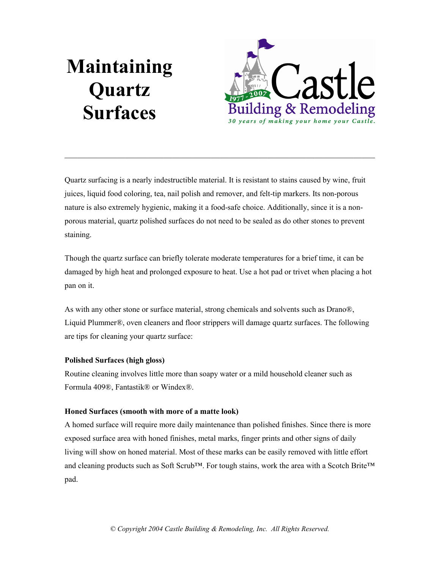# Maintaining Quartz Surfaces



Quartz surfacing is a nearly indestructible material. It is resistant to stains caused by wine, fruit juices, liquid food coloring, tea, nail polish and remover, and felt-tip markers. Its non-porous nature is also extremely hygienic, making it a food-safe choice. Additionally, since it is a nonporous material, quartz polished surfaces do not need to be sealed as do other stones to prevent staining.

 $\_$  , and the set of the set of the set of the set of the set of the set of the set of the set of the set of the set of the set of the set of the set of the set of the set of the set of the set of the set of the set of th

Though the quartz surface can briefly tolerate moderate temperatures for a brief time, it can be damaged by high heat and prolonged exposure to heat. Use a hot pad or trivet when placing a hot pan on it.

As with any other stone or surface material, strong chemicals and solvents such as Drano®, Liquid Plummer®, oven cleaners and floor strippers will damage quartz surfaces. The following are tips for cleaning your quartz surface:

# Polished Surfaces (high gloss)

Routine cleaning involves little more than soapy water or a mild household cleaner such as Formula 409®, Fantastik® or Windex®.

# Honed Surfaces (smooth with more of a matte look)

A homed surface will require more daily maintenance than polished finishes. Since there is more exposed surface area with honed finishes, metal marks, finger prints and other signs of daily living will show on honed material. Most of these marks can be easily removed with little effort and cleaning products such as Soft Scrub™. For tough stains, work the area with a Scotch Brite™ pad.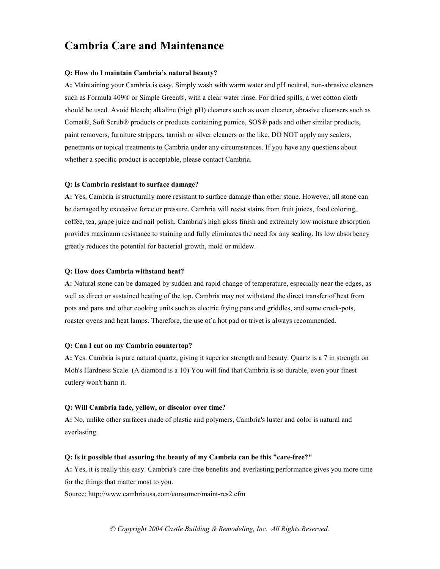# Cambria Care and Maintenance

### Q: How do I maintain Cambria's natural beauty?

A: Maintaining your Cambria is easy. Simply wash with warm water and pH neutral, non-abrasive cleaners such as Formula 409® or Simple Green®, with a clear water rinse. For dried spills, a wet cotton cloth should be used. Avoid bleach; alkaline (high pH) cleaners such as oven cleaner, abrasive cleansers such as Comet®, Soft Scrub® products or products containing pumice, SOS® pads and other similar products, paint removers, furniture strippers, tarnish or silver cleaners or the like. DO NOT apply any sealers, penetrants or topical treatments to Cambria under any circumstances. If you have any questions about whether a specific product is acceptable, please contact Cambria.

### Q: Is Cambria resistant to surface damage?

A: Yes, Cambria is structurally more resistant to surface damage than other stone. However, all stone can be damaged by excessive force or pressure. Cambria will resist stains from fruit juices, food coloring, coffee, tea, grape juice and nail polish. Cambria's high gloss finish and extremely low moisture absorption provides maximum resistance to staining and fully eliminates the need for any sealing. Its low absorbency greatly reduces the potential for bacterial growth, mold or mildew.

### Q: How does Cambria withstand heat?

A: Natural stone can be damaged by sudden and rapid change of temperature, especially near the edges, as well as direct or sustained heating of the top. Cambria may not withstand the direct transfer of heat from pots and pans and other cooking units such as electric frying pans and griddles, and some crock-pots, roaster ovens and heat lamps. Therefore, the use of a hot pad or trivet is always recommended.

### Q: Can I cut on my Cambria countertop?

A: Yes. Cambria is pure natural quartz, giving it superior strength and beauty. Quartz is a 7 in strength on Moh's Hardness Scale. (A diamond is a 10) You will find that Cambria is so durable, even your finest cutlery won't harm it.

### Q: Will Cambria fade, yellow, or discolor over time?

A: No, unlike other surfaces made of plastic and polymers, Cambria's luster and color is natural and everlasting.

#### Q: Is it possible that assuring the beauty of my Cambria can be this "care-free?"

A: Yes, it is really this easy. Cambria's care-free benefits and everlasting performance gives you more time for the things that matter most to you.

Source: http://www.cambriausa.com/consumer/maint-res2.cfm

© Copyright 2004 Castle Building & Remodeling, Inc. All Rights Reserved.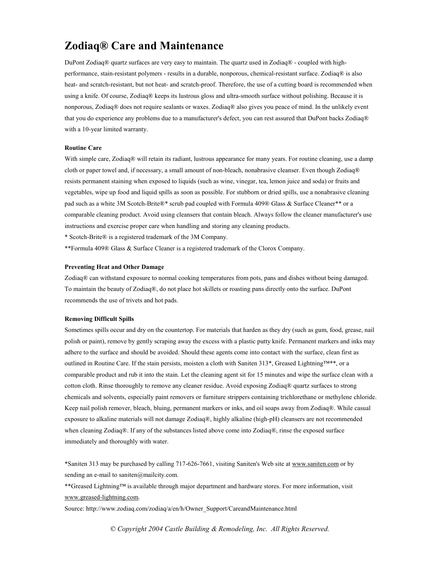# Zodiaq® Care and Maintenance

DuPont Zodiaq® quartz surfaces are very easy to maintain. The quartz used in Zodiaq® - coupled with highperformance, stain-resistant polymers - results in a durable, nonporous, chemical-resistant surface. Zodiaq® is also heat- and scratch-resistant, but not heat- and scratch-proof. Therefore, the use of a cutting board is recommended when using a knife. Of course, Zodiaq® keeps its lustrous gloss and ultra-smooth surface without polishing. Because it is nonporous, Zodiaq® does not require sealants or waxes. Zodiaq® also gives you peace of mind. In the unlikely event that you do experience any problems due to a manufacturer's defect, you can rest assured that DuPont backs Zodiaq® with a 10-year limited warranty.

#### Routine Care

With simple care, Zodiaq® will retain its radiant, lustrous appearance for many years. For routine cleaning, use a damp cloth or paper towel and, if necessary, a small amount of non-bleach, nonabrasive cleanser. Even though Zodiaq® resists permanent staining when exposed to liquids (such as wine, vinegar, tea, lemon juice and soda) or fruits and vegetables, wipe up food and liquid spills as soon as possible. For stubborn or dried spills, use a nonabrasive cleaning pad such as a white 3M Scotch-Brite®\* scrub pad coupled with Formula 409® Glass & Surface Cleaner\*\* or a comparable cleaning product. Avoid using cleansers that contain bleach. Always follow the cleaner manufacturer's use instructions and exercise proper care when handling and storing any cleaning products.

\* Scotch-Brite® is a registered trademark of the 3M Company.

\*\*Formula 409® Glass & Surface Cleaner is a registered trademark of the Clorox Company.

#### Preventing Heat and Other Damage

Zodiaq® can withstand exposure to normal cooking temperatures from pots, pans and dishes without being damaged. To maintain the beauty of Zodiaq®, do not place hot skillets or roasting pans directly onto the surface. DuPont recommends the use of trivets and hot pads.

### Removing Difficult Spills

Sometimes spills occur and dry on the countertop. For materials that harden as they dry (such as gum, food, grease, nail polish or paint), remove by gently scraping away the excess with a plastic putty knife. Permanent markers and inks may adhere to the surface and should be avoided. Should these agents come into contact with the surface, clean first as outlined in Routine Care. If the stain persists, moisten a cloth with Saniten 313\*, Greased Lightning™\*\*, or a comparable product and rub it into the stain. Let the cleaning agent sit for 15 minutes and wipe the surface clean with a cotton cloth. Rinse thoroughly to remove any cleaner residue. Avoid exposing Zodiaq® quartz surfaces to strong chemicals and solvents, especially paint removers or furniture strippers containing trichlorethane or methylene chloride. Keep nail polish remover, bleach, bluing, permanent markers or inks, and oil soaps away from Zodiaq®. While casual exposure to alkaline materials will not damage Zodiaq®, highly alkaline (high-pH) cleansers are not recommended when cleaning Zodiaq®. If any of the substances listed above come into Zodiaq®, rinse the exposed surface immediately and thoroughly with water.

\*Saniten 313 may be purchased by calling 717-626-7661, visiting Saniten's Web site at www.saniten.com or by sending an e-mail to saniten@mailcity.com.

\*\*Greased Lightning™ is available through major department and hardware stores. For more information, visit www.greased-lightning.com.

Source: http://www.zodiaq.com/zodiaq/a/en/h/Owner\_Support/CareandMaintenance.html

© Copyright 2004 Castle Building & Remodeling, Inc. All Rights Reserved.